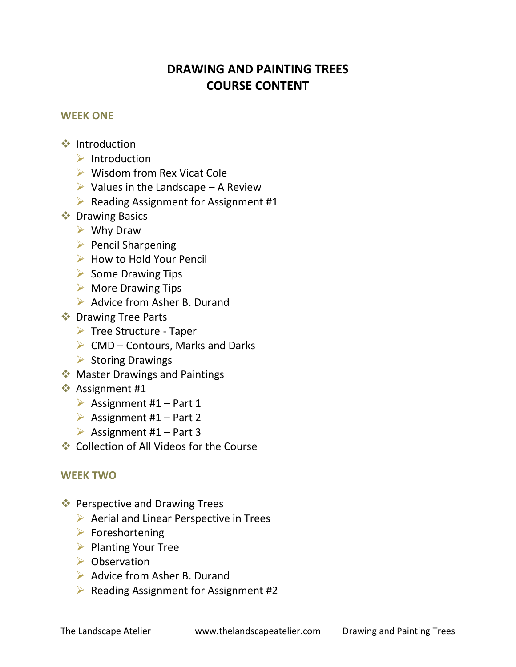# **DRAWING AND PAINTING TREES COURSE CONTENT**

### **WEEK ONE**

- ❖ Introduction
	- $\triangleright$  Introduction
	- ➢ Wisdom from Rex Vicat Cole
	- $\triangleright$  Values in the Landscape A Review
	- ➢ Reading Assignment for Assignment #1
- **❖** Drawing Basics
	- ➢ Why Draw
	- ➢ Pencil Sharpening
	- ➢ How to Hold Your Pencil
	- ➢ Some Drawing Tips
	- $\triangleright$  More Drawing Tips
	- ➢ Advice from Asher B. Durand
- **❖** Drawing Tree Parts
	- ➢ Tree Structure Taper
	- $\triangleright$  CMD Contours, Marks and Darks
	- ➢ Storing Drawings
- ◆ Master Drawings and Paintings
- **❖** Assignment #1
	- $\triangleright$  Assignment #1 Part 1
	- $\triangleright$  Assignment #1 Part 2
	- $\triangleright$  Assignment #1 Part 3
- ❖ Collection of All Videos for the Course

# **WEEK TWO**

- ❖ Perspective and Drawing Trees
	- ➢ Aerial and Linear Perspective in Trees
	- $\triangleright$  Foreshortening
	- ➢ Planting Your Tree
	- ➢ Observation
	- ➢ Advice from Asher B. Durand
	- ➢ Reading Assignment for Assignment #2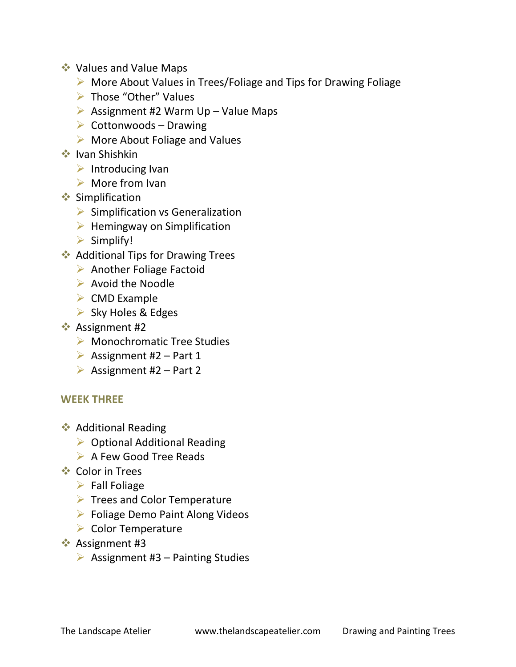- ❖ Values and Value Maps
	- ➢ More About Values in Trees/Foliage and Tips for Drawing Foliage
	- ➢ Those "Other" Values
	- $\triangleright$  Assignment #2 Warm Up Value Maps
	- $\triangleright$  Cottonwoods Drawing
	- ➢ More About Foliage and Values
- ❖ Ivan Shishkin
	- $\triangleright$  Introducing Ivan
	- $\triangleright$  More from Ivan
- ❖ Simplification
	- $\triangleright$  Simplification vs Generalization
	- $\triangleright$  Hemingway on Simplification
	- ➢ Simplify!
- ❖ Additional Tips for Drawing Trees
	- ➢ Another Foliage Factoid
	- ➢ Avoid the Noodle
	- $\triangleright$  CMD Example
	- ➢ Sky Holes & Edges
- ❖ Assignment #2
	- ➢ Monochromatic Tree Studies
	- $\triangleright$  Assignment #2 Part 1
	- $\triangleright$  Assignment #2 Part 2

# **WEEK THREE**

- ❖ Additional Reading
	- ➢ Optional Additional Reading
	- ➢ A Few Good Tree Reads
- ❖ Color in Trees
	- $\triangleright$  Fall Foliage
	- ➢ Trees and Color Temperature
	- ➢ Foliage Demo Paint Along Videos
	- ➢ Color Temperature
- ❖ Assignment #3
	- $\triangleright$  Assignment #3 Painting Studies